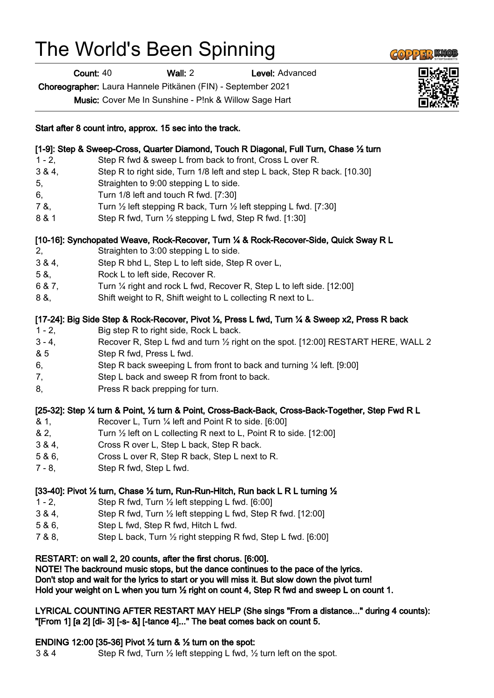# The World's Been Spinning

Count: 40 Wall: 2 Level: Advanced

Choreographer: Laura Hannele Pitkänen (FIN) - September 2021

Music: Cover Me In Sunshine - P!nk & Willow Sage Hart

#### Start after 8 count intro, approx. 15 sec into the track.

| [1-9]: Step & Sweep-Cross, Quarter Diamond, Touch R Diagonal, Full Turn, Chase 1/2 turn |                                                                                         |
|-----------------------------------------------------------------------------------------|-----------------------------------------------------------------------------------------|
| $1 - 2$ ,                                                                               | Step R fwd & sweep L from back to front, Cross L over R.                                |
| 3 & 4                                                                                   | Step R to right side, Turn 1/8 left and step L back, Step R back. [10.30]               |
| 5,                                                                                      | Straighten to 9:00 stepping L to side.                                                  |
| 6,                                                                                      | Turn $1/8$ left and touch R fwd. [7:30]                                                 |
| 7 &,                                                                                    | Turn $\frac{1}{2}$ left stepping R back, Turn $\frac{1}{2}$ left stepping L fwd. [7:30] |
| 8 & 1                                                                                   | Step R fwd, Turn 1/2 stepping L fwd, Step R fwd. [1:30]                                 |
| [10-16]: Synchopated Weave, Rock-Recover, Turn 1/4 & Rock-Recover-Side, Quick Sway R L  |                                                                                         |
| 2,                                                                                      | Straighten to 3:00 stepping L to side.                                                  |
| 384,                                                                                    | Step R bhd L, Step L to left side, Step R over L,                                       |
|                                                                                         |                                                                                         |

- 5 &, Rock L to left side, Recover R.
- 6 & 7, Turn ¼ right and rock L fwd, Recover R, Step L to left side. [12:00]
- 8 &, Shift weight to R, Shift weight to L collecting R next to L.

## [17-24]: Big Side Step & Rock-Recover, Pivot 1/2, Press L fwd, Turn 1/4 & Sweep x2, Press R back

- 1 2, Big step R to right side, Rock L back.
- 3 4, Recover R, Step L fwd and turn ½ right on the spot. [12:00] RESTART HERE, WALL 2
- & 5 Step R fwd, Press L fwd.
- 6, Step R back sweeping L from front to back and turning ¼ left. [9:00]
- 7, Step L back and sweep R from front to back.
- 8. Press R back prepping for turn.

### [25-32]: Step ¼ turn & Point, ½ turn & Point, Cross-Back-Back, Cross-Back-Together, Step Fwd R L

- & 1, Recover L, Turn ¼ left and Point R to side. [6:00]
- & 2, Turn ½ left on L collecting R next to L, Point R to side. [12:00]
- 3 & 4, Cross R over L, Step L back, Step R back.
- 5 & 6, Cross L over R, Step R back, Step L next to R.
- 7 8, Step R fwd, Step L fwd.

### [33-40]: Pivot  $\frac{1}{2}$  turn, Chase  $\frac{1}{2}$  turn, Run-Run-Hitch, Run back L R L turning  $\frac{1}{2}$

- 1 2, Step R fwd, Turn  $\frac{1}{2}$  left stepping L fwd. [6:00]
- 3 & 4, Step R fwd, Turn ½ left stepping L fwd, Step R fwd. [12:00]
- 5 & 6, Step L fwd, Step R fwd, Hitch L fwd.
- 7 & 8, Step L back, Turn ½ right stepping R fwd, Step L fwd. [6:00]

### RESTART: on wall 2, 20 counts, after the first chorus. [6:00].

NOTE! The backround music stops, but the dance continues to the pace of the lyrics. Don't stop and wait for the lyrics to start or you will miss it. But slow down the pivot turn!

Hold your weight on L when you turn ½ right on count 4, Step R fwd and sweep L on count 1.

LYRICAL COUNTING AFTER RESTART MAY HELP (She sings "From a distance..." during 4 counts): "[From 1] [a 2] [di- 3] [-s- &] [-tance 4]..." The beat comes back on count 5.

### ENDING 12:00 [35-36] Pivot  $\frac{1}{2}$  turn &  $\frac{1}{2}$  turn on the spot:

3 & 4 Step R fwd, Turn  $\frac{1}{2}$  left stepping L fwd,  $\frac{1}{2}$  turn left on the spot.